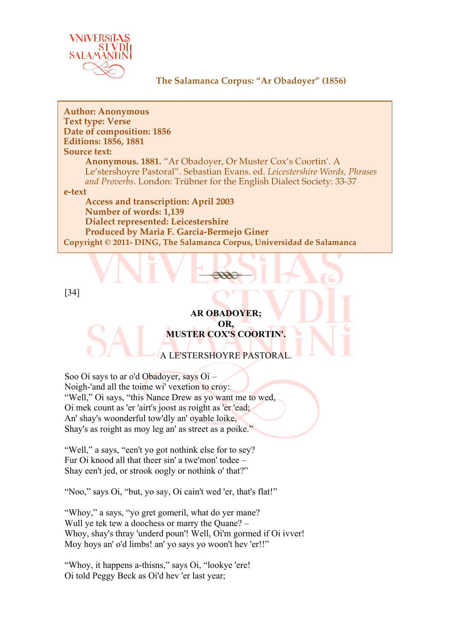

**Author: Anonymous Text type: Verse Date of composition: 1856 Editions: 1856, 1881 Source text: Anonymous. 1881.** "Ar Obadoyer, Or Muster Cox's Coortin'. A Le'stershoyre Pastoral". Sebastian Evans. ed. *Leicestershire Words, Phrases and Proverbs*. London: Trübner for the English Dialect Society: 33-37 **e-text Access and transcription: April 2003 Number of words: 1,139 Dialect represented: Leicestershire Produced by Maria F. Garcia-Bermejo Giner Copyright © 2011- DING, The Salamanca Corpus, Universidad de Salamanca**

[34]

## **AR OBADOYER; OR, MUSTER COX'S COORTIN'.**

A LE'STERSHOYRE PASTORAL.

Soo Oi says to ar o'd Obadoyer, says Oi – Noigh-'and all the toime wi' vexetion to croy: "Well," Oi says, "this Nance Drew as yo want me to wed, Oi mek count as 'er 'airt's joost as roight as 'er 'ead; An' shay's woonderful tow'dly an' oyable loike, Shay's as roight as moy leg an' as street as a poike."

"Well," a says, "een't yo got nothink else for to sey? Fur Oi knood all that theer sin' a twe'mon' todee – Shay een't jed, or strook oogly or nothink o' that?"

"Noo," says Oi, "but, yo say, Oi cain't wed 'er, that's flat!"

"Whoy," a says, "yo gret gomeril, what do yer mane? Wull ye tek tew a doochess or marry the Quane? – Whoy, shay's thray 'underd poun'! Well, Oi'm gormed if Oi ivver! Moy hoys an' o'd limbs! an' yo says yo woon't hev 'er!!"

"Whoy, it happens a-thisns," says Oi, "lookye 'ere! Oi told Peggy Beck as Oi'd hev 'er last year;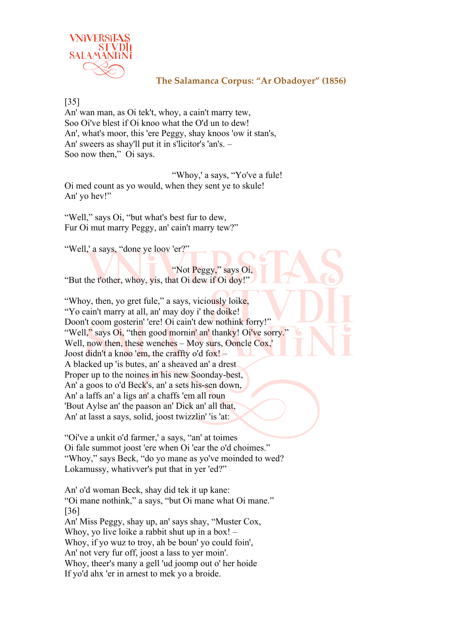

[35]

An' wan man, as Oi tek't, whoy, a cain't marry tew, Soo Oi've blest if Oi knoo what the O'd un to dew! An', what's moor, this 'ere Peggy, shay knoos 'ow it stan's, An' sweers as shay'll put it in s'licitor's 'an's. – Soo now then," Oi says.

"Whoy,' a says, "Yo've a fule! Oi med count as yo would, when they sent ye to skule! An' yo hev!"

"Well," says Oi, "but what's best fur to dew, Fur Oi mut marry Peggy, an' cain't marry tew?"

"Well,' a says, "done ye loov 'er?"

"Not Peggy," says Oi, "But the t'other, whoy, yis, that Oi dew if Oi doy!"

"Whoy, then, yo gret fule," a says, viciously loike, "Yo cain't marry at all, an' may doy i' the doike!" Doon't coom gosterin' 'ere! Oi cain't dew nothink forry!" "Well," says Oi, "then good mornin' an' thanky! Oi've sorry." Well, now then, these wenches – Moy surs, Ooncle Cox,' Joost didn't a knoo 'em, the craffty o'd fox!  $-$ A blacked up 'is butes, an' a sheaved an' a drest Proper up to the noines in his new Soonday-best, An' a goos to o'd Beck's, an' a sets his-sen down, An' a laffs an' a ligs an' a chaffs 'em all roun 'Bout Aylse an' the paason an' Dick an' all that, An' at lasst a says, solid, joost twizzlin' 'is 'at:

"Oi've a unkit o'd farmer,' a says, "an' at toimes Oi fale summot joost 'ere when Oi 'ear the o'd choimes." "Whoy," says Beck, "do yo mane as yo've moinded to wed? Lokamussy, whativver's put that in yer 'ed?"

An' o'd woman Beck, shay did tek it up kane: "Oi mane nothink," a says, "but Oi mane what Oi mane." [36] An' Miss Peggy, shay up, an' says shay, "Muster Cox, Whoy, yo live loike a rabbit shut up in a box! – Whoy, if yo wuz to troy, ah be boun' yo could foin', An' not very fur off, joost a lass to yer moin'. Whoy, theer's many a gell 'ud joomp out o' her hoide If yo'd ahx 'er in arnest to mek yo a broide.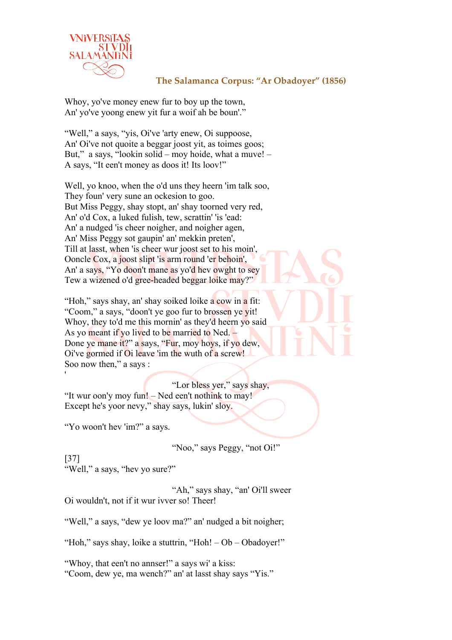

Whoy, yo've money enew fur to boy up the town, An' yo've yoong enew yit fur a woif ah be boun'."

"Well," a says, "yis, Oi've 'arty enew, Oi suppoose, An' Oi've not quoite a beggar joost yit, as toimes goos; But," a says, "lookin solid – moy hoide, what a muve! – A says, "It een't money as doos it! Its loov!"

Well, yo knoo, when the o'd uns they heern 'im talk soo, They foun' very sune an ockesion to goo. But Miss Peggy, shay stopt, an' shay toorned very red, An' o'd Cox, a luked fulish, tew, scrattin' 'is 'ead: An' a nudged 'is cheer noigher, and noigher agen, An' Miss Peggy sot gaupin' an' mekkin preten', Till at lasst, when 'is cheer wur joost set to his moin', Ooncle Cox, a joost slipt 'is arm round 'er behoin', An' a says, "Yo doon't mane as yo'd hev owght to sey Tew a wizened o'd gree-headed beggar loike may?"

"Hoh," says shay, an' shay soiked loike a cow in a fit: "Coom," a says, "doon't ye goo fur to brossen ye yit! Whoy, they to'd me this mornin' as they'd heern yo said As yo meant if yo lived to be married to Ned. – Done ye mane it?" a says, "Fur, moy hoys, if yo dew, Oi've gormed if Oi leave 'im the wuth of a screw! Soo now then," a says :

"Lor bless yer," says shay, "It wur oon'y moy fun! – Ned een't nothink to may! Except he's yoor nevy," shay says, lukin' sloy.

"Yo woon't hev 'im?" a says.

'

"Noo," says Peggy, "not Oi!"

[37] "Well," a says, "hey yo sure?"

"Ah," says shay, "an' Oi'll sweer Oi wouldn't, not if it wur ivver so! Theer!

"Well," a says, "dew ye loov ma?" an' nudged a bit noigher;

"Hoh," says shay, loike a stuttrin, "Hoh! – Ob – Obadoyer!"

"Whoy, that een't no annser!" a says wi' a kiss: "Coom, dew ye, ma wench?" an' at lasst shay says "Yis."